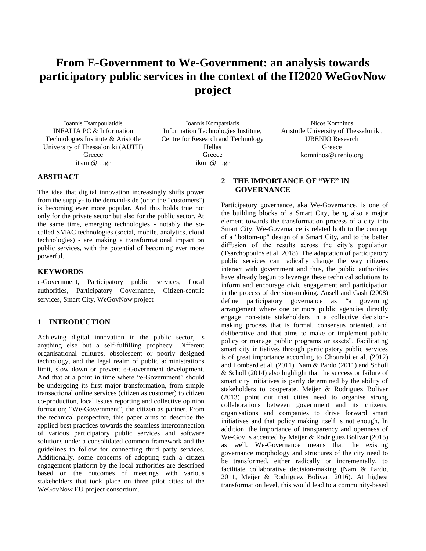# **From E-Government to We-Government: an analysis towards participatory public services in the context of the H2020 WeGovNow project**

Ioannis Tsampoulatidis INFALIA PC & Information Technologies Institute & Aristotle University of Thessaloniki (AUTH) **Greece** itsam@iti.gr

Ioannis Kompatsiaris Information Technologies Institute, Centre for Research and Technology Hellas Greece ikom@iti.gr

Nicos Komninos Aristotle University of Thessaloniki, URENIO Research **Greece** komninos@urenio.org

# **ABSTRACT**

The idea that digital innovation increasingly shifts power from the supply- to the demand-side (or to the "customers") is becoming ever more popular. And this holds true not only for the private sector but also for the public sector. At the same time, emerging technologies - notably the socalled SMAC technologies (social, mobile, analytics, cloud technologies) - are making a transformational impact on public services, with the potential of becoming ever more powerful.

# **KEYWORDS**

e-Government, Participatory public services, Local authorities, Participatory Governance, Citizen-centric services, Smart City, WeGovNow project

# **1 INTRODUCTION**

Achieving digital innovation in the public sector, is anything else but a self-fulfilling prophecy. Different organisational cultures, obsolescent or poorly designed technology, and the legal realm of public administrations limit, slow down or prevent e-Government development. And that at a point in time where "e-Government" should be undergoing its first major transformation, from simple transactional online services (citizen as customer) to citizen co-production, local issues reporting and collective opinion formation; "We-Government", the citizen as partner. From the technical perspective, this paper aims to describe the applied best practices towards the seamless interconnection of various participatory public services and software solutions under a consolidated common framework and the guidelines to follow for connecting third party services. Additionally, some concerns of adopting such a citizen engagement platform by the local authorities are described based on the outcomes of meetings with various stakeholders that took place on three pilot cities of the WeGovNow EU project consortium.

# **2 THE IMPORTANCE OF "WE" IN GOVERNANCE**

Participatory governance, aka We-Governance, is one of the building blocks of a Smart City, being also a major element towards the transformation process of a city into Smart City. We-Governance is related both to the concept of a "bottom-up" design of a Smart City, and to the better diffusion of the results across the city's population (Tsarchopoulos et al, 2018). The adaptation of participatory public services can radically change the way citizens interact with government and thus, the public authorities have already begun to leverage these technical solutions to inform and encourage civic engagement and participation in the process of decision-making. Ansell and Gash (2008) define participatory governance as "a governing arrangement where one or more public agencies directly engage non-state stakeholders in a collective decisionmaking process that is formal, consensus oriented, and deliberative and that aims to make or implement public policy or manage public programs or assets". Facilitating smart city initiatives through participatory public services is of great importance according to Chourabi et al. (2012) and Lombard et al. (2011). Nam & Pardo (2011) and Scholl & Scholl (2014) also highlight that the success or failure of smart city initiatives is partly determined by the ability of stakeholders to cooperate. Meijer & Rodriguez Bolivar (2013) point out that cities need to organise strong collaborations between government and its citizens, organisations and companies to drive forward smart initiatives and that policy making itself is not enough. In addition, the importance of transparency and openness of We-Gov is accented by Meijer & Rodriguez Bolivar (2015) as well. We-Governance means that the existing governance morphology and structures of the city need to be transformed, either radically or incrementally, to facilitate collaborative decision-making (Nam & Pardo, 2011, Meijer & Rodriguez Bolivar, 2016). At highest transformation level, this would lead to a community-based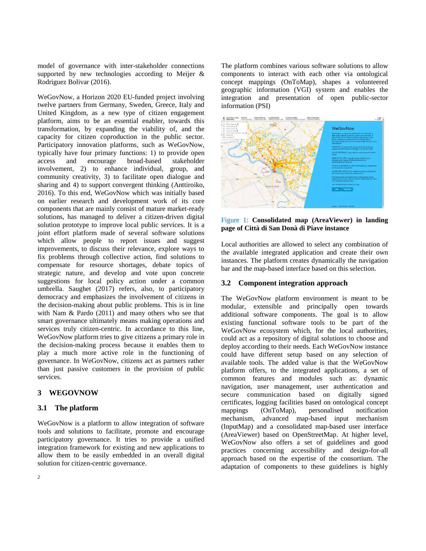model of governance with inter-stakeholder connections supported by new technologies according to Meijer & Rodriguez Bolivar (2016).

WeGovNow, a Horizon 2020 EU-funded project involving twelve partners from Germany, Sweden, Greece, Italy and United Kingdom, as a new type of citizen engagement platform, aims to be an essential enabler, towards this transformation, by expanding the viability of, and the capacity for citizen coproduction in the public sector. Participatory innovation platforms, such as WeGovNow, typically have four primary functions: 1) to provide open access and encourage broad-based stakeholder involvement, 2) to enhance individual, group, and community creativity, 3) to facilitate open dialogue and sharing and 4) to support convergent thinking (Anttiroiko, 2016). To this end, WeGovNow which was initially based on earlier research and development work of its core components that are mainly consist of mature market-ready solutions, has managed to deliver a citizen-driven digital solution prototype to improve local public services. It is a joint effort platform made of several software solutions which allow people to report issues and suggest improvements, to discuss their relevance, explore ways to fix problems through collective action, find solutions to compensate for resource shortages, debate topics of strategic nature, and develop and vote upon concrete suggestions for local policy action under a common umbrella. Saughet (2017) refers, also, to participatory democracy and emphasizes the involvement of citizens in the decision-making about public problems. This is in line with Nam & Pardo (2011) and many others who see that smart governance ultimately means making operations and services truly citizen-centric. In accordance to this line, WeGovNow platform tries to give citizens a primary role in the decision-making process because it enables them to play a much more active role in the functioning of governance. In WeGovNow, citizens act as partners rather than just passive customers in the provision of public services.

# **3 WEGOVNOW**

#### **3.1 The platform**

WeGovNow is a platform to allow integration of software tools and solutions to facilitate, promote and encourage participatory governance. It tries to provide a unified integration framework for existing and new applications to allow them to be easily embedded in an overall digital solution for citizen-centric governance.

The platform combines various software solutions to allow components to interact with each other via ontological concept mappings (OnToMap), shapes a volunteered geographic information (VGI) system and enables the integration and presentation of open public-sector information (PSI)



Figure 1: **Consolidated map (AreaViewer) in landing page of Città di San Donà di Piave instance**

Local authorities are allowed to select any combination of the available integrated application and create their own instances. The platform creates dynamically the navigation bar and the map-based interface based on this selection.

### **3.2 Component integration approach**

The WeGovNow platform environment is meant to be modular, extensible and principally open towards additional software components. The goal is to allow existing functional software tools to be part of the WeGovNow ecosystem which, for the local authorities, could act as a repository of digital solutions to choose and deploy according to their needs. Each WeGovNow instance could have different setup based on any selection of available tools. The added value is that the WeGovNow platform offers, to the integrated applications, a set of common features and modules such as: dynamic navigation, user management, user authentication and secure communication based on digitally signed certificates, logging facilities based on ontological concept mappings (OnToMap), personalised notification mechanism, advanced map-based input mechanism (InputMap) and a consolidated map-based user interface (AreaViewer) based on OpenStreetMap. At higher level, WeGovNow also offers a set of guidelines and good practices concerning accessibility and design-for-all approach based on the expertise of the consortium. The adaptation of components to these guidelines is highly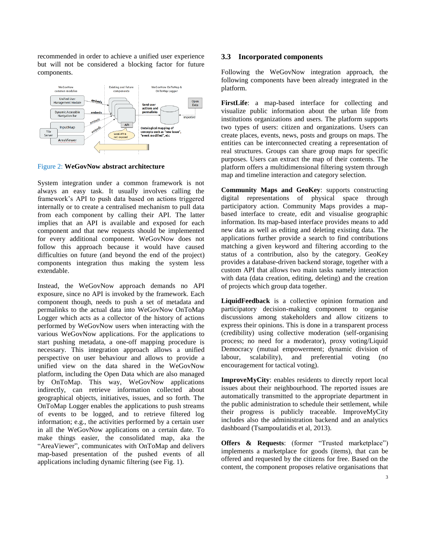recommended in order to achieve a unified user experience but will not be considered a blocking factor for future components.



Figure 2: **WeGovNow abstract architecture**

System integration under a common framework is not always an easy task. It usually involves calling the framework's API to push data based on actions triggered internally or to create a centralised mechanism to pull data from each component by calling their API. The latter implies that an API is available and exposed for each component and that new requests should be implemented for every additional component. WeGovNow does not follow this approach because it would have caused difficulties on future (and beyond the end of the project) components integration thus making the system less extendable.

Instead, the WeGovNow approach demands no API exposure, since no API is invoked by the framework. Each component though, needs to push a set of metadata and permalinks to the actual data into WeGovNow OnToMap Logger which acts as a collector of the history of actions performed by WeGovNow users when interacting with the various WeGovNow applications. For the applications to start pushing metadata, a one-off mapping procedure is necessary. This integration approach allows a unified perspective on user behaviour and allows to provide a unified view on the data shared in the WeGovNow platform, including the Open Data which are also managed by OnToMap. This way, WeGovNow applications indirectly, can retrieve information collected about geographical objects, initiatives, issues, and so forth. The OnToMap Logger enables the applications to push streams of events to be logged, and to retrieve filtered log information; e.g., the activities performed by a certain user in all the WeGovNow applications on a certain date. To make things easier, the consolidated map, aka the "AreaViewer", communicates with OnToMap and delivers map-based presentation of the pushed events of all applications including dynamic filtering (see Fig. 1).

#### **3.3 Incorporated components**

Following the WeGovNow integration approach, the following components have been already integrated in the platform.

**FirstLife**: a map-based interface for collecting and visualize public information about the urban life from institutions organizations and users. The platform supports two types of users: citizen and organizations. Users can create places, events, news, posts and groups on maps. The entities can be interconnected creating a representation of real structures. Groups can share group maps for specific purposes. Users can extract the map of their contents. The platform offers a multidimensional filtering system through map and timeline interaction and category selection.

**Community Maps and GeoKey**: supports constructing digital representations of physical space through participatory action. Community Maps provides a mapbased interface to create, edit and visualise geographic information. Its map-based interface provides means to add new data as well as editing and deleting existing data. The applications further provide a search to find contributions matching a given keyword and filtering according to the status of a contribution, also by the category. GeoKey provides a database-driven backend storage, together with a custom API that allows two main tasks namely interaction with data (data creation, editing, deleting) and the creation of projects which group data together.

**LiquidFeedback** is a collective opinion formation and participatory decision-making component to organise discussions among stakeholders and allow citizens to express their opinions. This is done in a transparent process (credibility) using collective moderation (self-organising process; no need for a moderator), proxy voting/Liquid Democracy (mutual empowerment; dynamic division of labour, scalability), and preferential voting (no encouragement for tactical voting).

**ImproveMyCity**: enables residents to directly report local issues about their neighbourhood. The reported issues are automatically transmitted to the appropriate department in the public administration to schedule their settlement, while their progress is publicly traceable. ImproveMyCity includes also the administration backend and an analytics dashboard (Tsampoulatidis et al, 2013).

**Offers & Requests**: (former "Trusted marketplace") implements a marketplace for goods (items), that can be offered and requested by the citizens for free. Based on the content, the component proposes relative organisations that